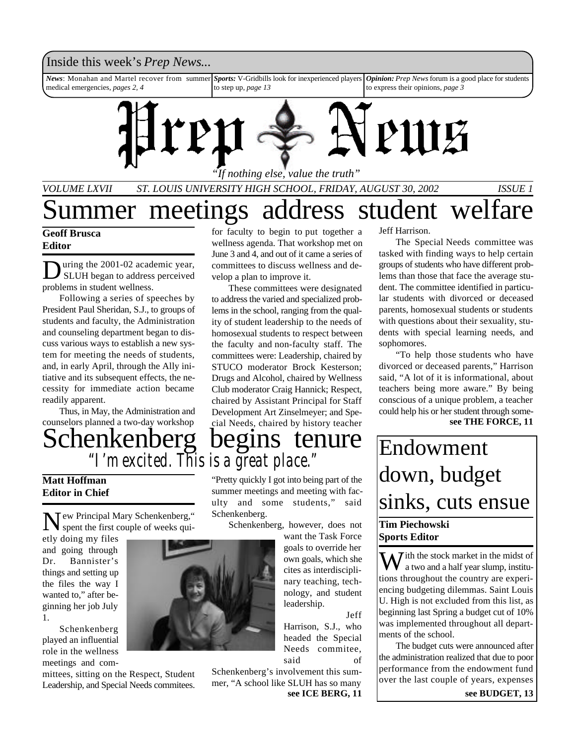## Inside this week's *Prep News*...

*News*: Monahan and Martel recover from summer medical emergencies, *pages 2, 4 Sports:* V-Gridbills look for inexperienced players to step up, *page 13 Opinion: Prep News* forum is a good place for students to express their opinions, *page 3*



*VOLUME LXVII ST. LOUIS UNIVERSITY HIGH SCHOOL, FRIDAY, AUGUST 30, 2002 ISSUE 1*

# ummer meetings address student welfare

### **Geoff Brusca Editor**

D uring the 2001-02 academic year, SLUH began to address perceived problems in student wellness.

Following a series of speeches by President Paul Sheridan, S.J., to groups of students and faculty, the Administration and counseling department began to discuss various ways to establish a new system for meeting the needs of students, and, in early April, through the Ally initiative and its subsequent effects, the necessity for immediate action became readily apparent.

Thus, in May, the Administration and counselors planned a two-day workshop

for faculty to begin to put together a wellness agenda. That workshop met on June 3 and 4, and out of it came a series of committees to discuss wellness and develop a plan to improve it.

These committees were designated to address the varied and specialized problems in the school, ranging from the quality of student leadership to the needs of homosexual students to respect between the faculty and non-faculty staff. The committees were: Leadership, chaired by STUCO moderator Brock Kesterson; Drugs and Alcohol, chaired by Wellness Club moderator Craig Hannick; Respect, chaired by Assistant Principal for Staff Development Art Zinselmeyer; and Special Needs, chaired by history teacher

# Schenkenberg begins tenure *"I'm excited. This is a great place."*

**Matt Hoffman Editor in Chief**

N ew Principal Mary Schenkenberg," spent the first couple of weeks qui-

etly doing my files and going through Dr. Bannister's things and setting up the files the way I wanted to," after beginning her job July 1.

Schenkenberg played an influential role in the wellness meetings and com-

mittees, sitting on the Respect, Student Leadership, and Special Needs commitees.

"Pretty quickly I got into being part of the summer meetings and meeting with faculty and some students," said Schenkenberg.

Schenkenberg, however, does not

want the Task Force goals to override her own goals, which she cites as interdisciplinary teaching, technology, and student leadership.

Jeff Harrison, S.J., who headed the Special Needs commitee, said of

Schenkenberg's involvement this summer, "A school like SLUH has so many

**see ICE BERG, 11**

Jeff Harrison.

The Special Needs committee was tasked with finding ways to help certain groups of students who have different problems than those that face the average student. The committee identified in particular students with divorced or deceased parents, homosexual students or students with questions about their sexuality, students with special learning needs, and sophomores.

"To help those students who have divorced or deceased parents," Harrison said, "A lot of it is informational, about teachers being more aware." By being conscious of a unique problem, a teacher could help his or her student through some**see THE FORCE, 11**

# Endowment down, budget sinks, cuts ensue

### **Tim Piechowski Sports Editor**

 $\bar{J}$  ith the stock market in the midst of a two and a half year slump, institutions throughout the country are experiencing budgeting dilemmas. Saint Louis U. High is not excluded from this list, as beginning last Spring a budget cut of 10% was implemented throughout all departments of the school.

The budget cuts were announced after the administration realized that due to poor performance from the endowment fund over the last couple of years, expenses

**see BUDGET, 13**

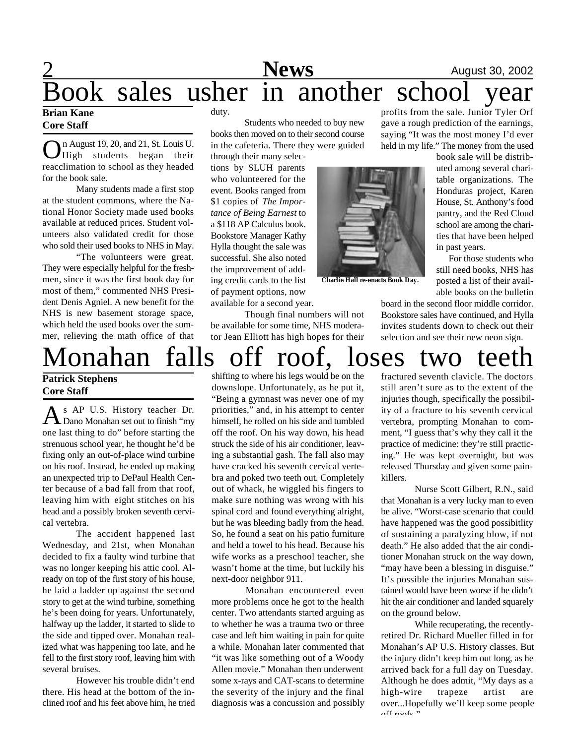# **2** August 30, 2002 Book sales usher in another school year

### **Brian Kane Core Staff**

On August 19, 20, and 21, St. Louis U.<br>High students began their n August 19, 20, and 21, St. Louis U. reacclimation to school as they headed for the book sale.

Many students made a first stop at the student commons, where the National Honor Society made used books available at reduced prices. Student volunteers also validated credit for those who sold their used books to NHS in May.

"The volunteers were great. They were especially helpful for the freshmen, since it was the first book day for most of them," commented NHS President Denis Agniel. A new benefit for the NHS is new basement storage space, which held the used books over the summer, relieving the math office of that duty.

Students who needed to buy new books then moved on to their second course in the cafeteria. There they were guided

through their many selections by SLUH parents who volunteered for the event. Books ranged from \$1 copies of *The Importance of Being Earnest* to a \$118 AP Calculus book. Bookstore Manager Kathy Hylla thought the sale was successful. She also noted the improvement of adding credit cards to the list of payment options, now available for a second year.

Though final numbers will not be available for some time, NHS moderator Jean Elliott has high hopes for their

shifting to where his legs would be on the downslope. Unfortunately, as he put it, "Being a gymnast was never one of my priorities," and, in his attempt to center himself, he rolled on his side and tumbled off the roof. On his way down, his head struck the side of his air conditioner, leaving a substantial gash. The fall also may have cracked his seventh cervical vertebra and poked two teeth out. Completely out of whack, he wiggled his fingers to make sure nothing was wrong with his spinal cord and found everything alright, but he was bleeding badly from the head. So, he found a seat on his patio furniture and held a towel to his head. Because his wife works as a preschool teacher, she wasn't home at the time, but luckily his

next-door neighbor 911. Monahan encountered even more problems once he got to the health center. Two attendants started arguing as to whether he was a trauma two or three case and left him waiting in pain for quite a while. Monahan later commented that "it was like something out of a Woody Allen movie." Monahan then underwent some x-rays and CAT-scans to determine the severity of the injury and the final diagnosis was a concussion and possibly

profits from the sale. Junior Tyler Orf gave a rough prediction of the earnings, saying "It was the most money I'd ever held in my life." The money from the used

> book sale will be distributed among several charitable organizations. The Honduras project, Karen House, St. Anthony's food pantry, and the Red Cloud school are among the charities that have been helped in past years.

> For those students who still need books, NHS has posted a list of their available books on the bulletin

board in the second floor middle corridor. Bookstore sales have continued, and Hylla invites students down to check out their selection and see their new neon sign.

# Monahan falls off roof, loses two teeth

### **Patrick Stephens Core Staff**

A S AP U.S. History teacher Dr.<br>Dano Monahan set out to finish "my s AP U.S. History teacher Dr. one last thing to do" before starting the strenuous school year, he thought he'd be fixing only an out-of-place wind turbine on his roof. Instead, he ended up making an unexpected trip to DePaul Health Center because of a bad fall from that roof, leaving him with eight stitches on his head and a possibly broken seventh cervical vertebra.

The accident happened last Wednesday, and 21st, when Monahan decided to fix a faulty wind turbine that was no longer keeping his attic cool. Already on top of the first story of his house, he laid a ladder up against the second story to get at the wind turbine, something he's been doing for years. Unfortunately, halfway up the ladder, it started to slide to the side and tipped over. Monahan realized what was happening too late, and he fell to the first story roof, leaving him with several bruises.

However his trouble didn't end there. His head at the bottom of the inclined roof and his feet above him, he tried

fractured seventh clavicle. The doctors still aren't sure as to the extent of the injuries though, specifically the possibility of a fracture to his seventh cervical vertebra, prompting Monahan to comment, "I guess that's why they call it the practice of medicine: they're still practicing." He was kept overnight, but was released Thursday and given some painkillers.

Nurse Scott Gilbert, R.N., said that Monahan is a very lucky man to even be alive. "Worst-case scenario that could have happened was the good possibitlity of sustaining a paralyzing blow, if not death." He also added that the air conditioner Monahan struck on the way down, "may have been a blessing in disguise." It's possible the injuries Monahan sustained would have been worse if he didn't hit the air conditioner and landed squarely on the ground below.

While recuperating, the recentlyretired Dr. Richard Mueller filled in for Monahan's AP U.S. History classes. But the injury didn't keep him out long, as he arrived back for a full day on Tuesday. Although he does admit, "My days as a high-wire trapeze artist are over...Hopefully we'll keep some people  $off$  roofs"

**Charlie Hall re-enacts Book Day.**

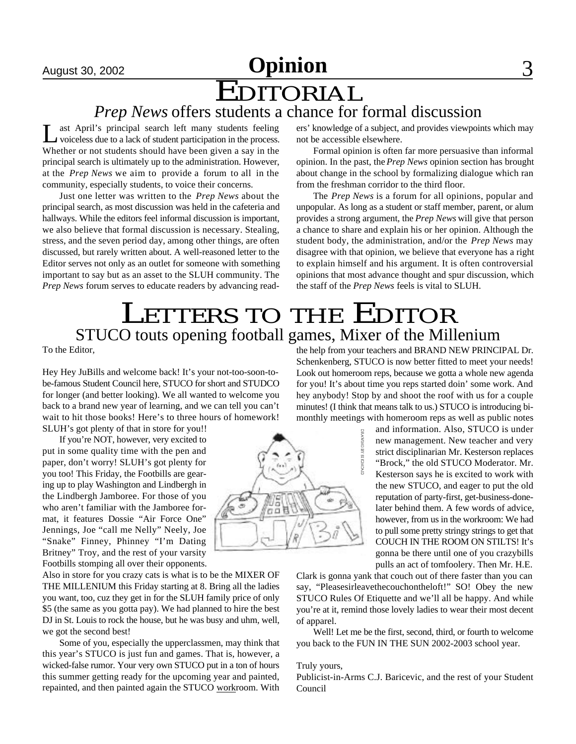# August 30, 2002 **Opinion** 3 EDITORIAL

# *Prep News* offers students a chance for formal discussion

 $\overline{\mathsf{L}}$ ast April's principal search left many students feeling voiceless due to a lack of student participation in the process. Whether or not students should have been given a say in the principal search is ultimately up to the administration. However, at the *Prep News* we aim to provide a forum to all in the community, especially students, to voice their concerns.

Just one letter was written to the *Prep News* about the principal search, as most discussion was held in the cafeteria and hallways. While the editors feel informal discussion is important, we also believe that formal discussion is necessary. Stealing, stress, and the seven period day, among other things, are often discussed, but rarely written about. A well-reasoned letter to the Editor serves not only as an outlet for someone with something important to say but as an asset to the SLUH community. The *Prep News* forum serves to educate readers by advancing readers' knowledge of a subject, and provides viewpoints which may not be accessible elsewhere.

Formal opinion is often far more persuasive than informal opinion. In the past, the *Prep News* opinion section has brought about change in the school by formalizing dialogue which ran from the freshman corridor to the third floor.

The *Prep News* is a forum for all opinions, popular and unpopular. As long as a student or staff member, parent, or alum provides a strong argument, the *Prep News* will give that person a chance to share and explain his or her opinion. Although the student body, the administration, and/or the *Prep News* may disagree with that opinion, we believe that everyone has a right to explain himself and his argument. It is often controversial opinions that most advance thought and spur discussion, which the staff of the *Prep News* feels is vital to SLUH.

# LETTERS TO THE EDITOR STUCO touts opening football games, Mixer of the Millenium

To the Editor,

Hey Hey JuBills and welcome back! It's your not-too-soon-tobe-famous Student Council here, STUCO for short and STUDCO for longer (and better looking). We all wanted to welcome you back to a brand new year of learning, and we can tell you can't wait to hit those books! Here's to three hours of homework! SLUH's got plenty of that in store for you!!

If you're NOT, however, very excited to put in some quality time with the pen and paper, don't worry! SLUH's got plenty for you too! This Friday, the Footbills are gearing up to play Washington and Lindbergh in the Lindbergh Jamboree. For those of you who aren't familiar with the Jamboree format, it features Dossie "Air Force One" Jennings, Joe "call me Nelly" Neely, Joe "Snake" Finney, Phinney "I'm Dating Britney" Troy, and the rest of your varsity Footbills stomping all over their opponents.

Also in store for you crazy cats is what is to be the MIXER OF THE MILLENIUM this Friday starting at 8. Bring all the ladies you want, too, cuz they get in for the SLUH family price of only \$5 (the same as you gotta pay). We had planned to hire the best DJ in St. Louis to rock the house, but he was busy and uhm, well, we got the second best!

Some of you, especially the upperclassmen, may think that this year's STUCO is just fun and games. That is, however, a wicked-false rumor. Your very own STUCO put in a ton of hours this summer getting ready for the upcoming year and painted, repainted, and then painted again the STUCO workroom. With



the help from your teachers and BRAND NEW PRINCIPAL Dr. Schenkenberg, STUCO is now better fitted to meet your needs! Look out homeroom reps, because we gotta a whole new agenda for you! It's about time you reps started doin' some work. And hey anybody! Stop by and shoot the roof with us for a couple minutes! (I think that means talk to us.) STUCO is introducing bimonthly meetings with homeroom reps as well as public notes

> and information. Also, STUCO is under new management. New teacher and very strict disciplinarian Mr. Kesterson replaces "Brock," the old STUCO Moderator. Mr. Kesterson says he is excited to work with the new STUCO, and eager to put the old reputation of party-first, get-business-donelater behind them. A few words of advice, however, from us in the workroom: We had to pull some pretty stringy strings to get that COUCH IN THE ROOM ON STILTS! It's gonna be there until one of you crazybills pulls an act of tomfoolery. Then Mr. H.E.

Clark is gonna yank that couch out of there faster than you can say, "Pleasesirleavethecouchontheloft!" SO! Obey the new STUCO Rules Of Etiquette and we'll all be happy. And while you're at it, remind those lovely ladies to wear their most decent of apparel.

Well! Let me be the first, second, third, or fourth to welcome you back to the FUN IN THE SUN 2002-2003 school year.

#### Truly yours,

Publicist-in-Arms C.J. Baricevic, and the rest of your Student Council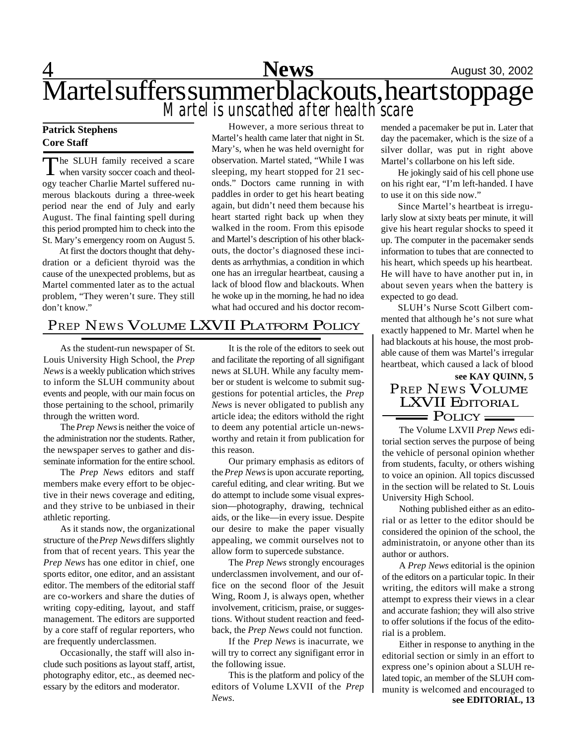4 **News** August 30, 2002 Martel suffers summer blackouts, heart stoppage *Martel is unscathed after health scare*

### **Patrick Stephens Core Staff**

The SLUH family received a scare<br>when varsity soccer coach and theolhe SLUH family received a scare ogy teacher Charlie Martel suffered numerous blackouts during a three-week period near the end of July and early August. The final fainting spell during this period prompted him to check into the St. Mary's emergency room on August 5.

At first the doctors thought that dehydration or a deficient thyroid was the cause of the unexpected problems, but as Martel commented later as to the actual problem, "They weren't sure. They still don't know."

However, a more serious threat to Martel's health came later that night in St. Mary's, when he was held overnight for observation. Martel stated, "While I was sleeping, my heart stopped for 21 seconds." Doctors came running in with paddles in order to get his heart beating again, but didn't need them because his heart started right back up when they walked in the room. From this episode and Martel's description of his other blackouts, the doctor's diagnosed these incidents as arrhythmias, a condition in which one has an irregular heartbeat, causing a lack of blood flow and blackouts. When he woke up in the morning, he had no idea what had occured and his doctor recom-

# *PREP NEWS* VOLUME LXVII PLATFORM POLICY

As the student-run newspaper of St. Louis University High School, the *Prep News* is a weekly publication which strives to inform the SLUH community about events and people, with our main focus on those pertaining to the school, primarily through the written word.

The *Prep News* is neither the voice of the administration nor the students. Rather, the newspaper serves to gather and disseminate information for the entire school.

The *Prep News* editors and staff members make every effort to be objective in their news coverage and editing, and they strive to be unbiased in their athletic reporting.

As it stands now, the organizational structure of the *Prep News* differs slightly from that of recent years. This year the *Prep News* has one editor in chief, one sports editor, one editor, and an assistant editor. The members of the editorial staff are co-workers and share the duties of writing copy-editing, layout, and staff management. The editors are supported by a core staff of regular reporters, who are frequently underclassmen.

Occasionally, the staff will also include such positions as layout staff, artist, photography editor, etc., as deemed necessary by the editors and moderator.

It is the role of the editors to seek out and facilitate the reporting of all signifigant news at SLUH. While any faculty member or student is welcome to submit suggestions for potential articles, the *Prep News* is never obligated to publish any article idea; the editors withold the right to deem any potential article un-newsworthy and retain it from publication for this reason.

Our primary emphasis as editors of the *Prep News* is upon accurate reporting, careful editing, and clear writing. But we do attempt to include some visual expression—photography, drawing, technical aids, or the like—in every issue. Despite our desire to make the paper visually appealing, we commit ourselves not to allow form to supercede substance.

The *Prep News* strongly encourages underclassmen involvement, and our office on the second floor of the Jesuit Wing, Room J, is always open, whether involvement, criticism, praise, or suggestions. Without student reaction and feedback, the *Prep News* could not function.

If the *Prep News* is inacurrate, we will try to correct any signifigant error in the following issue.

This is the platform and policy of the editors of Volume LXVII of the *Prep News*.

mended a pacemaker be put in. Later that day the pacemaker, which is the size of a silver dollar, was put in right above Martel's collarbone on his left side.

He jokingly said of his cell phone use on his right ear, "I'm left-handed. I have to use it on this side now."

Since Martel's heartbeat is irregularly slow at sixty beats per minute, it will give his heart regular shocks to speed it up. The computer in the pacemaker sends information to tubes that are connected to his heart, which speeds up his heartbeat. He will have to have another put in, in about seven years when the battery is expected to go dead.

SLUH's Nurse Scott Gilbert commented that although he's not sure what exactly happened to Mr. Martel when he had blackouts at his house, the most probable cause of them was Martel's irregular heartbeat, which caused a lack of blood

## **see KAY QUINN, 5** *PREP NEWS* VOLUME LXVII EDITORIAL  $=$  Policy  $=$

The Volume LXVII *Prep News* editorial section serves the purpose of being the vehicle of personal opinion whether from students, faculty, or others wishing to voice an opinion. All topics discussed in the section will be related to St. Louis University High School.

Nothing published either as an editorial or as letter to the editor should be considered the opinion of the school, the administratoin, or anyone other than its author or authors.

A *Prep News* editorial is the opinion of the editors on a particular topic. In their writing, the editors will make a strong attempt to express their views in a clear and accurate fashion; they will also strive to offer solutions if the focus of the editorial is a problem.

Either in response to anything in the editorial section or simly in an effort to express one's opinion about a SLUH related topic, an member of the SLUH community is welcomed and encouraged to **see EDITORIAL, 13**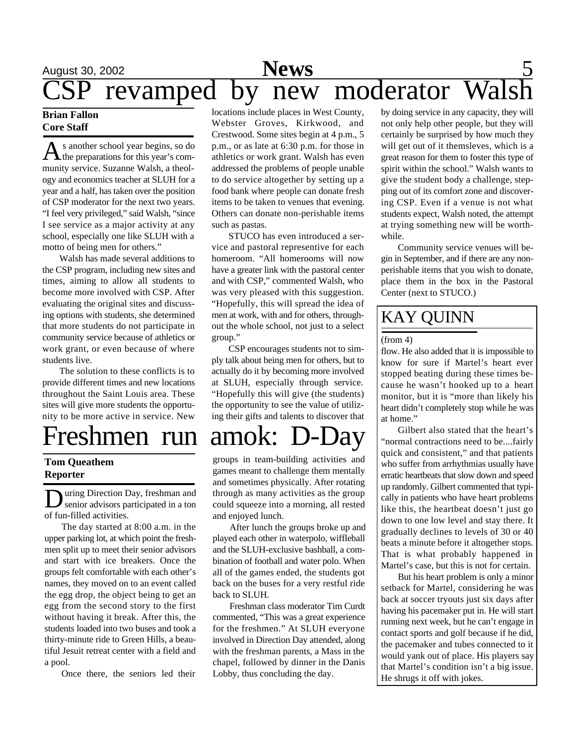# August 30, 2002 **Sports Species 30, 2002** revamped by new moderator **News**

### **Brian Fallon Core Staff**

A s another school year begins, so do<br>the preparations for this year's coms another school year begins, so do munity service. Suzanne Walsh, a theology and economics teacher at SLUH for a year and a half, has taken over the position of CSP moderator for the next two years. "I feel very privileged," said Walsh, "since I see service as a major activity at any school, especially one like SLUH with a motto of being men for others."

Walsh has made several additions to the CSP program, including new sites and times, aiming to allow all students to become more involved with CSP. After evaluating the original sites and discussing options with students, she determined that more students do not participate in community service because of athletics or work grant, or even because of where students live.

The solution to these conflicts is to provide different times and new locations throughout the Saint Louis area. These sites will give more students the opportunity to be more active in service. New

# Freshmen run amok:

## **Tom Queathem Reporter**

D uring Direction Day, freshman and senior advisors participated in a ton of fun-filled activities.

The day started at 8:00 a.m. in the upper parking lot, at which point the freshmen split up to meet their senior advisors and start with ice breakers. Once the groups felt comfortable with each other's names, they moved on to an event called the egg drop, the object being to get an egg from the second story to the first without having it break. After this, the students loaded into two buses and took a thirty-minute ride to Green Hills, a beautiful Jesuit retreat center with a field and a pool.

Once there, the seniors led their

locations include places in West County, Webster Groves, Kirkwood, and Crestwood. Some sites begin at 4 p.m., 5 p.m., or as late at 6:30 p.m. for those in athletics or work grant. Walsh has even addressed the problems of people unable to do service altogether by setting up a food bank where people can donate fresh items to be taken to venues that evening. Others can donate non-perishable items such as pastas.

STUCO has even introduced a service and pastoral representive for each homeroom. "All homerooms will now have a greater link with the pastoral center and with CSP," commented Walsh, who was very pleased with this suggestion. "Hopefully, this will spread the idea of men at work, with and for others, throughout the whole school, not just to a select group."

CSP encourages students not to simply talk about being men for others, but to actually do it by becoming more involved at SLUH, especially through service. "Hopefully this will give (the students) the opportunity to see the value of utilizing their gifts and talents to discover that

groups in team-building activities and games meant to challenge them mentally and sometimes physically. After rotating through as many activities as the group could squeeze into a morning, all rested and enjoyed lunch.

After lunch the groups broke up and played each other in waterpolo, wiffleball and the SLUH-exclusive bashball, a combination of football and water polo. When all of the games ended, the students got back on the buses for a very restful ride back to SLUH.

Freshman class moderator Tim Curdt commented, "This was a great experience for the freshmen." At SLUH everyone involved in Direction Day attended, along with the freshman parents, a Mass in the chapel, followed by dinner in the Danis Lobby, thus concluding the day.

by doing service in any capacity, they will not only help other people, but they will certainly be surprised by how much they will get out of it themsleves, which is a great reason for them to foster this type of spirit within the school." Walsh wants to give the student body a challenge, stepping out of its comfort zone and discovering CSP. Even if a venue is not what students expect, Walsh noted, the attempt at trying something new will be worthwhile.

Community service venues will begin in September, and if there are any nonperishable items that you wish to donate, place them in the box in the Pastoral Center (next to STUCO.)

# KAY QUINN

### (from 4)

flow. He also added that it is impossible to know for sure if Martel's heart ever stopped beating during these times because he wasn't hooked up to a heart monitor, but it is "more than likely his heart didn't completely stop while he was at home."

Gilbert also stated that the heart's "normal contractions need to be....fairly quick and consistent," and that patients who suffer from arrhythmias usually have erratic heartbeats that slow down and speed up randomly. Gilbert commented that typically in patients who have heart problems like this, the heartbeat doesn't just go down to one low level and stay there. It gradually declines to levels of 30 or 40 beats a minute before it altogether stops. That is what probably happened in Martel's case, but this is not for certain.

But his heart problem is only a minor setback for Martel, considering he was back at soccer tryouts just six days after having his pacemaker put in. He will start running next week, but he can't engage in contact sports and golf because if he did, the pacemaker and tubes connected to it would yank out of place. His players say that Martel's condition isn't a big issue. He shrugs it off with jokes.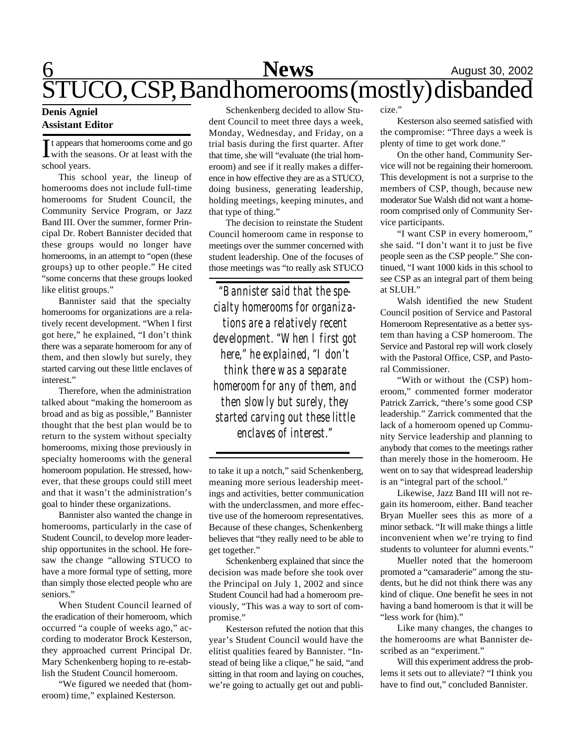# $\underbrace{6}_{\approx}$  **News** August 30, 2002 STUCO, CSP, Band homerooms (mostly) disbanded

### **Denis Agniel Assistant Editor**

It appears that homerooms come and go<br>with the seasons. Or at least with the with the seasons. Or at least with the school years.

This school year, the lineup of homerooms does not include full-time homerooms for Student Council, the Community Service Program, or Jazz Band III. Over the summer, former Principal Dr. Robert Bannister decided that these groups would no longer have homerooms, in an attempt to "open (these groups) up to other people." He cited "some concerns that these groups looked like elitist groups."

Bannister said that the specialty homerooms for organizations are a relatively recent development. "When I first got here," he explained, "I don't think there was a separate homeroom for any of them, and then slowly but surely, they started carving out these little enclaves of interest."

Therefore, when the administration talked about "making the homeroom as broad and as big as possible," Bannister thought that the best plan would be to return to the system without specialty homerooms, mixing those previously in specialty homerooms with the general homeroom population. He stressed, however, that these groups could still meet and that it wasn't the administration's goal to hinder these organizations.

Bannister also wanted the change in homerooms, particularly in the case of Student Council, to develop more leadership opportunites in the school. He foresaw the change "allowing STUCO to have a more formal type of setting, more than simply those elected people who are seniors."

When Student Council learned of the eradication of their homeroom, which occurred "a couple of weeks ago," according to moderator Brock Kesterson, they approached current Principal Dr. Mary Schenkenberg hoping to re-establish the Student Council homeroom.

"We figured we needed that (homeroom) time," explained Kesterson.

Schenkenberg decided to allow Student Council to meet three days a week, Monday, Wednesday, and Friday, on a trial basis during the first quarter. After that time, she will "evaluate (the trial homeroom) and see if it really makes a difference in how effective they are as a STUCO, doing business, generating leadership, holding meetings, keeping minutes, and that type of thing."

The decision to reinstate the Student Council homeroom came in response to meetings over the summer concerned with student leadership. One of the focuses of those meetings was "to really ask STUCO

*"Bannister said that the specialty homerooms for organizations are a relatively recent development. "When I first got here," he explained, "I don't think there was a separate homeroom for any of them, and then slowly but surely, they started carving out these little enclaves of interest."*

to take it up a notch," said Schenkenberg, meaning more serious leadership meetings and activities, better communication with the underclassmen, and more effective use of the homeroom representatives. Because of these changes, Schenkenberg believes that "they really need to be able to get together."

Schenkenberg explained that since the decision was made before she took over the Principal on July 1, 2002 and since Student Council had had a homeroom previously, "This was a way to sort of compromise."

Kesterson refuted the notion that this year's Student Council would have the elitist qualities feared by Bannister. "Instead of being like a clique," he said, "and sitting in that room and laying on couches, we're going to actually get out and publicize."

Kesterson also seemed satisfied with the compromise: "Three days a week is plenty of time to get work done."

On the other hand, Community Service will not be regaining their homeroom. This development is not a surprise to the members of CSP, though, because new moderator Sue Walsh did not want a homeroom comprised only of Community Service participants.

"I want CSP in every homeroom," she said. "I don't want it to just be five people seen as the CSP people." She continued, "I want 1000 kids in this school to see CSP as an integral part of them being at SLUH."

Walsh identified the new Student Council position of Service and Pastoral Homeroom Representative as a better system than having a CSP homeroom. The Service and Pastoral rep will work closely with the Pastoral Office, CSP, and Pastoral Commissioner.

"With or without the (CSP) homeroom," commented former moderator Patrick Zarrick, "there's some good CSP leadership." Zarrick commented that the lack of a homeroom opened up Community Service leadership and planning to anybody that comes to the meetings rather than merely those in the homeroom. He went on to say that widespread leadership is an "integral part of the school."

Likewise, Jazz Band III will not regain its homeroom, either. Band teacher Bryan Mueller sees this as more of a minor setback. "It will make things a little inconvenient when we're trying to find students to volunteer for alumni events."

Mueller noted that the homeroom promoted a "camaraderie" among the students, but he did not think there was any kind of clique. One benefit he sees in not having a band homeroom is that it will be "less work for (him)."

Like many changes, the changes to the homerooms are what Bannister described as an "experiment."

Will this experiment address the problems it sets out to alleviate? "I think you have to find out," concluded Bannister.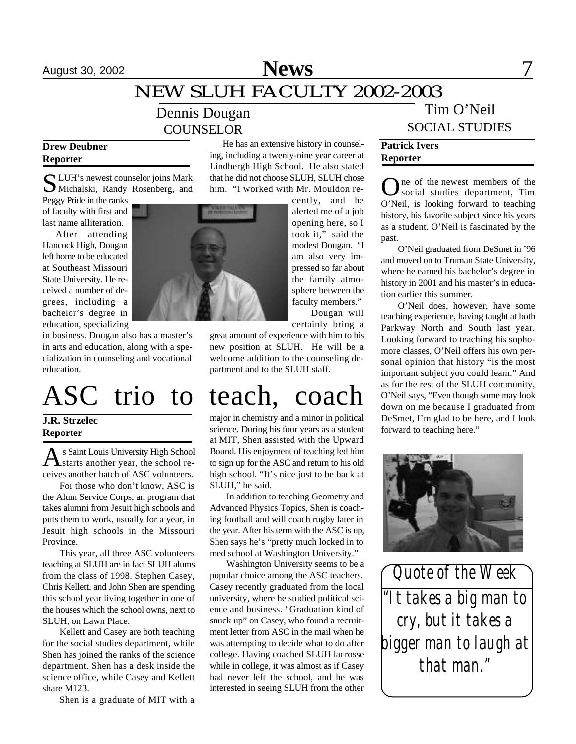# August 30, 2002 **News** 7

# NEW SLUH FACULTY 2002-2003

# Dennis Dougan COUNSELOR

### **Drew Deubner Reporter**

S LUH's newest counselor joins Mark<br>Michalski, Randy Rosenberg, and Michalski, Randy Rosenberg, and

Peggy Pride in the ranks of faculty with first and last name alliteration.

After attending Hancock High, Dougan left home to be educated at Southeast Missouri State University. He received a number of degrees, including a bachelor's degree in education, specializing

in business. Dougan also has a master's in arts and education, along with a specialization in counseling and vocational education.

### **J.R. Strzelec Reporter**

As Saint Louis University High School s Saint Louis University High School ceives another batch of ASC volunteers.

For those who don't know, ASC is the Alum Service Corps, an program that takes alumni from Jesuit high schools and puts them to work, usually for a year, in Jesuit high schools in the Missouri Province.

This year, all three ASC volunteers teaching at SLUH are in fact SLUH alums from the class of 1998. Stephen Casey, Chris Kellett, and John Shen are spending this school year living together in one of the houses which the school owns, next to SLUH, on Lawn Place.

Kellett and Casey are both teaching for the social studies department, while Shen has joined the ranks of the science department. Shen has a desk inside the science office, while Casey and Kellett share M123.

Shen is a graduate of MIT with a

He has an extensive history in counseling, including a twenty-nine year career at Lindbergh High School. He also stated that he did not choose SLUH, SLUH chose him. "I worked with Mr. Mouldon re-

cently, and he alerted me of a job opening here, so I took it," said the modest Dougan. "I am also very impressed so far about the family atmosphere between the faculty members." Dougan will certainly bring a

great amount of experience with him to his new position at SLUH. He will be a welcome addition to the counseling department and to the SLUH staff.

# ASC trio to teach, coach

major in chemistry and a minor in political science. During his four years as a student at MIT, Shen assisted with the Upward Bound. His enjoyment of teaching led him to sign up for the ASC and return to his old high school. "It's nice just to be back at SLUH," he said.

In addition to teaching Geometry and Advanced Physics Topics, Shen is coaching football and will coach rugby later in the year. After his term with the ASC is up, Shen says he's "pretty much locked in to med school at Washington University."

Washington University seems to be a popular choice among the ASC teachers. Casey recently graduated from the local university, where he studied political science and business. "Graduation kind of snuck up" on Casey, who found a recruitment letter from ASC in the mail when he was attempting to decide what to do after college. Having coached SLUH lacrosse while in college, it was almost as if Casey had never left the school, and he was interested in seeing SLUH from the other

# Tim O'Neil SOCIAL STUDIES

## **Patrick Ivers Reporter**

One of the newest members of the<br>social studies department, Tim social studies department, Tim O'Neil, is looking forward to teaching history, his favorite subject since his years as a student. O'Neil is fascinated by the past.

O'Neil graduated from DeSmet in '96 and moved on to Truman State University, where he earned his bachelor's degree in history in 2001 and his master's in education earlier this summer.

O'Neil does, however, have some teaching experience, having taught at both Parkway North and South last year. Looking forward to teaching his sophomore classes, O'Neil offers his own personal opinion that history "is the most important subject you could learn." And as for the rest of the SLUH community, O'Neil says, "Even though some may look down on me because I graduated from DeSmet, I'm glad to be here, and I look forward to teaching here."



*"It takes a big man to cry, but it takes a bigger man to laugh at that man." Quote of the Week*

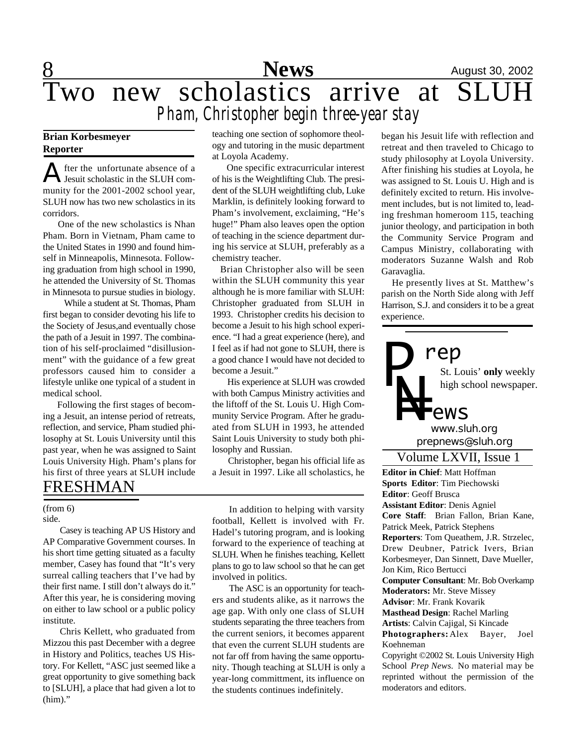# **8** August 30, 2002 Two new scholastics arrive at SLUH *Pham, Christopher begin three-year stay*

## **Brian Korbesmeyer Reporter**

A fter the unfortunate absence of a<br>Jesuit scholastic in the SLUH comfter the unfortunate absence of a munity for the 2001-2002 school year, SLUH now has two new scholastics in its corridors.

 One of the new scholastics is Nhan Pham. Born in Vietnam, Pham came to the United States in 1990 and found himself in Minneapolis, Minnesota. Following graduation from high school in 1990, he attended the University of St. Thomas in Minnesota to pursue studies in biology.

 While a student at St. Thomas, Pham first began to consider devoting his life to the Society of Jesus,and eventually chose the path of a Jesuit in 1997. The combination of his self-proclaimed "disillusionment" with the guidance of a few great professors caused him to consider a lifestyle unlike one typical of a student in medical school.

 Following the first stages of becoming a Jesuit, an intense period of retreats, reflection, and service, Pham studied philosophy at St. Louis University until this past year, when he was assigned to Saint Louis University High. Pham's plans for his first of three years at SLUH include FRESHMAN

#### side. (from 6)

Casey is teaching AP US History and AP Comparative Government courses. In his short time getting situated as a faculty member, Casey has found that "It's very surreal calling teachers that I've had by their first name. I still don't always do it." After this year, he is considering moving on either to law school or a public policy institute.

Chris Kellett, who graduated from Mizzou this past December with a degree in History and Politics, teaches US History. For Kellett, "ASC just seemed like a great opportunity to give something back to [SLUH], a place that had given a lot to (him)."

teaching one section of sophomore theology and tutoring in the music department at Loyola Academy.

 One specific extracurricular interest of his is the Weightlifting Club. The president of the SLUH weightlifting club, Luke Marklin, is definitely looking forward to Pham's involvement, exclaiming, "He's huge!" Pham also leaves open the option of teaching in the science department during his service at SLUH, preferably as a chemistry teacher.

 Brian Christopher also will be seen within the SLUH community this year although he is more familiar with SLUH: Christopher graduated from SLUH in 1993. Christopher credits his decision to become a Jesuit to his high school experience. "I had a great experience (here), and I feel as if had not gone to SLUH, there is a good chance I would have not decided to become a Jesuit."

 His experience at SLUH was crowded with both Campus Ministry activities and the liftoff of the St. Louis U. High Community Service Program. After he graduated from SLUH in 1993, he attended Saint Louis University to study both philosophy and Russian.

 Christopher, began his official life as a Jesuit in 1997. Like all scholastics, he

In addition to helping with varsity football, Kellett is involved with Fr. Hadel's tutoring program, and is looking forward to the experience of teaching at SLUH. When he finishes teaching, Kellett plans to go to law school so that he can get involved in politics.

The ASC is an opportunity for teachers and students alike, as it narrows the age gap. With only one class of SLUH students separating the three teachers from the current seniors, it becomes apparent that even the current SLUH students are not far off from having the same opportunity. Though teaching at SLUH is only a year-long committment, its influence on the students continues indefinitely.

began his Jesuit life with reflection and retreat and then traveled to Chicago to study philosophy at Loyola University. After finishing his studies at Loyola, he was assigned to St. Louis U. High and is definitely excited to return. His involvement includes, but is not limited to, leading freshman homeroom 115, teaching junior theology, and participation in both the Community Service Program and Campus Ministry, collaborating with moderators Suzanne Walsh and Rob Garavaglia.

 He presently lives at St. Matthew's parish on the North Side along with Jeff Harrison, S.J. and considers it to be a great experience.

St. Louis' **only** weekly high school newspaper. *prepnews@sluh.org P N= rep www.sluh.org ews*

## Volume LXVII, Issue 1

**Editor in Chief**: Matt Hoffman **Sports Editor**: Tim Piechowski **Editor**: Geoff Brusca **Assistant Editor**: Denis Agniel **Core Staff**: Brian Fallon, Brian Kane, Patrick Meek, Patrick Stephens **Reporters**: Tom Queathem, J.R. Strzelec, Drew Deubner, Patrick Ivers, Brian Korbesmeyer, Dan Sinnett, Dave Mueller, Jon Kim, Rico Bertucci **Computer Consultant**: Mr. Bob Overkamp **Moderators:** Mr. Steve Missey **Advisor**: Mr. Frank Kovarik **Masthead Design**: Rachel Marling **Artists**: Calvin Cajigal, Si Kincade **Photographers:** Alex Bayer, Joel Koehneman Copyright ©2002 St. Louis University High

School *Prep News.* No material may be reprinted without the permission of the moderators and editors.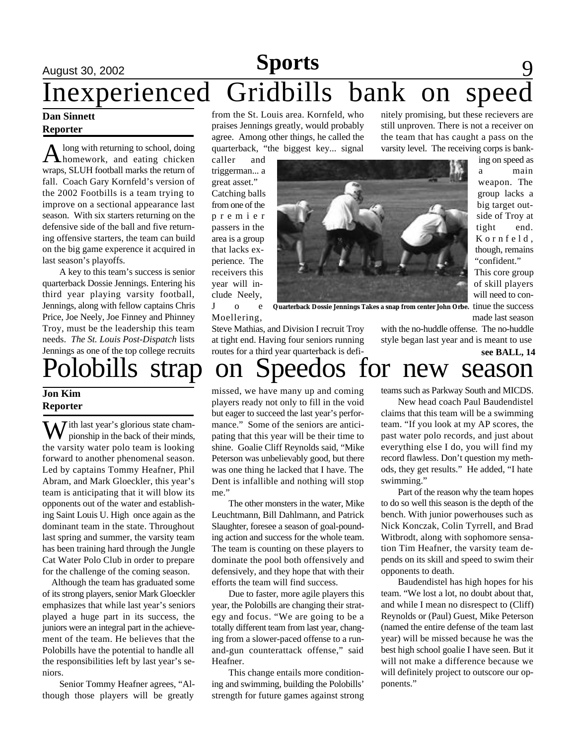# August 30, 2002 **News** 19 **News** 19 **August 30, 2002** Inexperienced Gridbills bank on speed nitely promising, but these recievers are **Sports**

### **Dan Sinnett Reporter**

A long with returning to school, doing<br>homework, and eating chicken long with returning to school, doing wraps, SLUH football marks the return of fall. Coach Gary Kornfeld's version of the 2002 Footbills is a team trying to improve on a sectional appearance last season. With six starters returning on the defensive side of the ball and five returning offensive starters, the team can build on the big game experence it acquired in last season's playoffs.

A key to this team's success is senior quarterback Dossie Jennings. Entering his third year playing varsity football, Jennings, along with fellow captains Chris Price, Joe Neely, Joe Finney and Phinney Troy, must be the leadership this team needs. *The St. Louis Post-Dispatch* lists Jennings as one of the top college recruits

### **Jon Kim Reporter**

 $\overline{J}$  ith last year's glorious state championship in the back of their minds, the varsity water polo team is looking forward to another phenomenal season. Led by captains Tommy Heafner, Phil Abram, and Mark Gloeckler, this year's team is anticipating that it will blow its opponents out of the water and establishing Saint Louis U. High once again as the dominant team in the state. Throughout last spring and summer, the varsity team has been training hard through the Jungle Cat Water Polo Club in order to prepare for the challenge of the coming season.

 Although the team has graduated some of its strong players, senior Mark Gloeckler emphasizes that while last year's seniors played a huge part in its success, the juniors were an integral part in the achievement of the team. He believes that the Polobills have the potential to handle all the responsibilities left by last year's seniors.

Senior Tommy Heafner agrees, "Although those players will be greatly

from the St. Louis area. Kornfeld, who praises Jennings greatly, would probably agree. Among other things, he called the quarterback, "the biggest key... signal

caller and triggerman... a great asset." Catching balls from one of the p r e m i e r passers in the area is a group that lacks experience. The receivers this year will include Neely, J o e

Moellering,



varsity level. The receiving corps is banking on speed as a main weapon. The group lacks a big target outside of Troy at tight end. K o r n f e l d , though, remains "confident." This core group of skill players will need to continue the success made last season

**Quarterback Dossie Jennings Takes a snap from center John Orbe.**

Steve Mathias, and Division I recruit Troy at tight end. Having four seniors running routes for a third year quarterback is defi-

# Polobills strap on Speedos for new season **see BALL, 14**

missed, we have many up and coming players ready not only to fill in the void but eager to succeed the last year's performance." Some of the seniors are anticipating that this year will be their time to shine. Goalie Cliff Reynolds said, "Mike Peterson was unbelievably good, but there was one thing he lacked that I have. The Dent is infallible and nothing will stop me."

The other monsters in the water, Mike Leuchtmann, Bill Dahlmann, and Patrick Slaughter, foresee a season of goal-pounding action and success for the whole team. The team is counting on these players to dominate the pool both offensively and defensively, and they hope that with their efforts the team will find success.

Due to faster, more agile players this year, the Polobills are changing their strategy and focus. "We are going to be a totally different team from last year, changing from a slower-paced offense to a runand-gun counterattack offense," said Heafner.

This change entails more conditioning and swimming, building the Polobills' strength for future games against strong teams such as Parkway South and MICDS.

with the no-huddle offense. The no-huddle style began last year and is meant to use

still unproven. There is not a receiver on the team that has caught a pass on the

New head coach Paul Baudendistel claims that this team will be a swimming team. "If you look at my AP scores, the past water polo records, and just about everything else I do, you will find my record flawless. Don't question my methods, they get results." He added, "I hate swimming."

Part of the reason why the team hopes to do so well this season is the depth of the bench. With junior powerhouses such as Nick Konczak, Colin Tyrrell, and Brad Witbrodt, along with sophomore sensation Tim Heafner, the varsity team depends on its skill and speed to swim their opponents to death.

Baudendistel has high hopes for his team. "We lost a lot, no doubt about that, and while I mean no disrespect to (Cliff) Reynolds or (Paul) Guest, Mike Peterson (named the entire defense of the team last year) will be missed because he was the best high school goalie I have seen. But it will not make a difference because we will definitely project to outscore our opponents."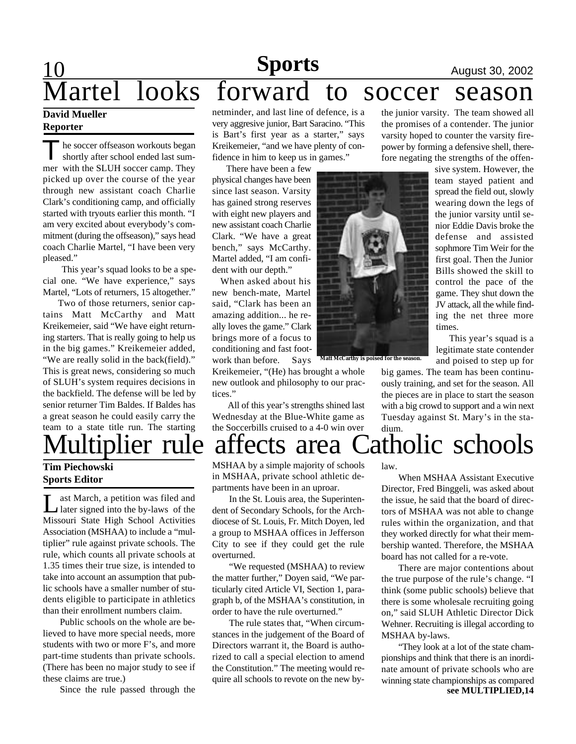# 10 **Sports** August 30, 2002 Martel looks forward to soccer season **Sports**

### **David Mueller Reporter**

The soccer offseason workouts began<br>shortly after school ended last sum-The soccer offseason workouts began mer with the SLUH soccer camp. They picked up over the course of the year through new assistant coach Charlie Clark's conditioning camp, and officially started with tryouts earlier this month. "I am very excited about everybody's commitment (during the offseason)," says head coach Charlie Martel, "I have been very pleased."

 This year's squad looks to be a special one. "We have experience," says Martel, "Lots of returners, 15 altogether."

 Two of those returners, senior captains Matt McCarthy and Matt Kreikemeier, said "We have eight returning starters. That is really going to help us in the big games." Kreikemeier added, "We are really solid in the back(field)." This is great news, considering so much of SLUH's system requires decisions in the backfield. The defense will be led by senior returner Tim Baldes. If Baldes has a great season he could easily carry the team to a state title run. The starting

# **Tim Piechowski**

## **Sports Editor**

Let March, a petition was filed and<br>
later signed into the by-laws of the ast March, a petition was filed and Missouri State High School Activities Association (MSHAA) to include a "multiplier" rule against private schools. The rule, which counts all private schools at 1.35 times their true size, is intended to take into account an assumption that public schools have a smaller number of students eligible to participate in athletics than their enrollment numbers claim.

Public schools on the whole are believed to have more special needs, more students with two or more F's, and more part-time students than private schools. (There has been no major study to see if these claims are true.)

Since the rule passed through the

netminder, and last line of defence, is a very aggresive junior, Bart Saracino. "This is Bart's first year as a starter," says Kreikemeier, "and we have plenty of confidence in him to keep us in games."

 There have been a few physical changes have been since last season. Varsity has gained strong reserves with eight new players and new assistant coach Charlie Clark. "We have a great bench," says McCarthy. Martel added, "I am confident with our depth."

 When asked about his new bench-mate, Martel said, "Clark has been an amazing addition... he really loves the game." Clark brings more of a focus to conditioning and fast footwork than before. Says

Kreikemeier, "(He) has brought a whole new outlook and philosophy to our practices."

 All of this year's strengths shined last Wednesday at the Blue-White game as the Soccerbills cruised to a 4-0 win over



**Matt McCarthy is poised for the season.**

the junior varsity. The team showed all the promises of a contender. The junior varsity hoped to counter the varsity firepower by forming a defensive shell, therefore negating the strengths of the offen-

> sive system. However, the team stayed patient and spread the field out, slowly wearing down the legs of the junior varsity until senior Eddie Davis broke the defense and assisted sophmore Tim Weir for the first goal. Then the Junior Bills showed the skill to control the pace of the game. They shut down the JV attack, all the while finding the net three more times.

This year's squad is a legitimate state contender and poised to step up for

big games. The team has been continuously training, and set for the season. All the pieces are in place to start the season with a big crowd to support and a win next Tuesday against St. Mary's in the stadium.

# Multiplier rule affects area Catholic schools

MSHAA by a simple majority of schools in MSHAA, private school athletic departments have been in an uproar.

In the St. Louis area, the Superintendent of Secondary Schools, for the Archdiocese of St. Louis, Fr. Mitch Doyen, led a group to MSHAA offices in Jefferson City to see if they could get the rule overturned.

"We requested (MSHAA) to review the matter further," Doyen said, "We particularly cited Article VI, Section 1, paragraph b, of the MSHAA's constitution, in order to have the rule overturned."

The rule states that, "When circumstances in the judgement of the Board of Directors warrant it, the Board is authorized to call a special election to amend the Constitution." The meeting would require all schools to revote on the new bylaw.

When MSHAA Assistant Executive Director, Fred Binggeli, was asked about the issue, he said that the board of directors of MSHAA was not able to change rules within the organization, and that they worked directly for what their membership wanted. Therefore, the MSHAA board has not called for a re-vote.

There are major contentions about the true purpose of the rule's change. "I think (some public schools) believe that there is some wholesale recruiting going on," said SLUH Athletic Director Dick Wehner. Recruiting is illegal according to MSHAA by-laws.

"They look at a lot of the state championships and think that there is an inordinate amount of private schools who are winning state championships as compared **see MULTIPLIED,14**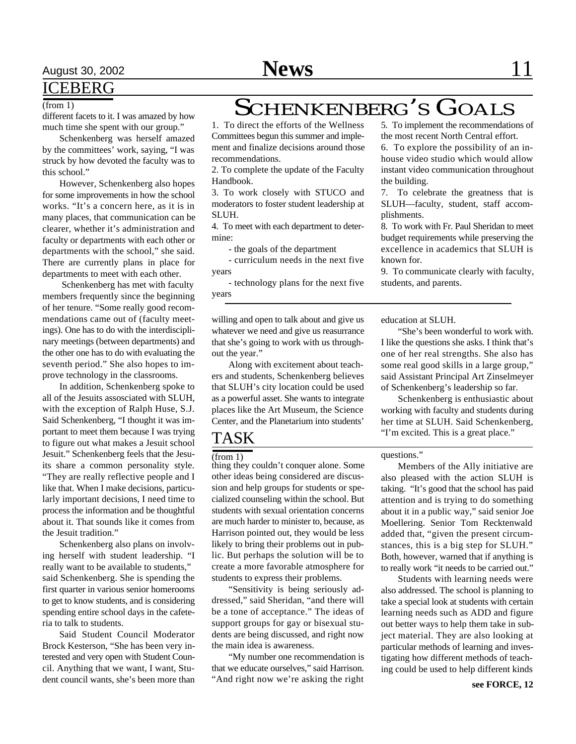# ICEBERG

### (from 1)

different facets to it. I was amazed by how much time she spent with our group."

Schenkenberg was herself amazed by the committees' work, saying, "I was struck by how devoted the faculty was to this school."

However, Schenkenberg also hopes for some improvements in how the school works. "It's a concern here, as it is in many places, that communication can be clearer, whether it's administration and faculty or departments with each other or departments with the school," she said. There are currently plans in place for departments to meet with each other.

 Schenkenberg has met with faculty members frequently since the beginning of her tenure. "Some really good recommendations came out of (faculty meetings). One has to do with the interdisciplinary meetings (between departments) and the other one has to do with evaluating the seventh period." She also hopes to improve technology in the classrooms.

In addition, Schenkenberg spoke to all of the Jesuits assosciated with SLUH, with the exception of Ralph Huse, S.J. Said Schenkenberg, "I thought it was important to meet them because I was trying to figure out what makes a Jesuit school Jesuit." Schenkenberg feels that the Jesuits share a common personality style. "They are really reflective people and I like that. When I make decisions, particularly important decisions, I need time to process the information and be thoughtful about it. That sounds like it comes from the Jesuit tradition."

Schenkenberg also plans on involving herself with student leadership. "I really want to be available to students," said Schenkenberg. She is spending the first quarter in various senior homerooms to get to know students, and is considering spending entire school days in the cafeteria to talk to students.

Said Student Council Moderator Brock Kesterson, "She has been very interested and very open with Student Council. Anything that we want, I want, Student council wants, she's been more than

# SCHENKENBERG'S GOALS

1. To direct the efforts of the Wellness Committees begun this summer and implement and finalize decisions around those recommendations.

2. To complete the update of the Faculty Handbook.

3. To work closely with STUCO and moderators to foster student leadership at SLUH.

4. To meet with each department to determine:

- the goals of the department

- curriculum needs in the next five years

- technology plans for the next five years

willing and open to talk about and give us whatever we need and give us reasurrance that she's going to work with us throughout the year."

Along with excitement about teachers and students, Schenkenberg believes that SLUH's city location could be used as a powerful asset. She wants to integrate places like the Art Museum, the Science Center, and the Planetarium into students'

# TASK

(from 1)

thing they couldn't conquer alone. Some other ideas being considered are discussion and help groups for students or specialized counseling within the school. But students with sexual orientation concerns are much harder to minister to, because, as Harrison pointed out, they would be less likely to bring their problems out in public. But perhaps the solution will be to create a more favorable atmosphere for students to express their problems.

"Sensitivity is being seriously addressed," said Sheridan, "and there will be a tone of acceptance." The ideas of support groups for gay or bisexual students are being discussed, and right now the main idea is awareness.

"My number one recommendation is that we educate ourselves," said Harrison. "And right now we're asking the right

5. To implement the recommendations of the most recent North Central effort.

6. To explore the possibility of an inhouse video studio which would allow instant video communication throughout the building.

7. To celebrate the greatness that is SLUH—faculty, student, staff accomplishments.

8. To work with Fr. Paul Sheridan to meet budget requirements while preserving the excellence in academics that SLUH is known for.

9. To communicate clearly with faculty, students, and parents.

education at SLUH.

"She's been wonderful to work with. I like the questions she asks. I think that's one of her real strengths. She also has some real good skills in a large group," said Assistant Principal Art Zinselmeyer of Schenkenberg's leadership so far.

Schenkenberg is enthusiastic about working with faculty and students during her time at SLUH. Said Schenkenberg, "I'm excited. This is a great place."

### questions."

Members of the Ally initiative are also pleased with the action SLUH is taking. "It's good that the school has paid attention and is trying to do something about it in a public way," said senior Joe Moellering. Senior Tom Recktenwald added that, "given the present circumstances, this is a big step for SLUH." Both, however, warned that if anything is to really work "it needs to be carried out."

Students with learning needs were also addressed. The school is planning to take a special look at students with certain learning needs such as ADD and figure out better ways to help them take in subject material. They are also looking at particular methods of learning and investigating how different methods of teaching could be used to help different kinds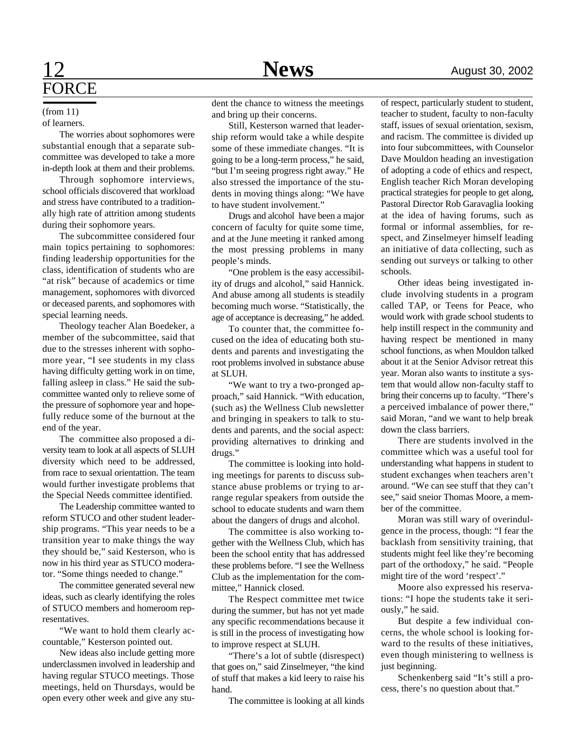#### of learners. (from 11)

The worries about sophomores were substantial enough that a separate subcommittee was developed to take a more in-depth look at them and their problems.

Through sophomore interviews, school officials discovered that workload and stress have contributed to a traditionally high rate of attrition among students during their sophomore years.

The subcommittee considered four main topics pertaining to sophomores: finding leadership opportunities for the class, identification of students who are "at risk" because of academics or time management, sophomores with divorced or deceased parents, and sophomores with special learning needs.

Theology teacher Alan Boedeker, a member of the subcommittee, said that due to the stresses inherent with sophomore year, "I see students in my class having difficulty getting work in on time, falling asleep in class." He said the subcommittee wanted only to relieve some of the pressure of sophomore year and hopefully reduce some of the burnout at the end of the year.

The committee also proposed a diversity team to look at all aspects of SLUH diversity which need to be addressed, from race to sexual orientattion. The team would further investigate problems that the Special Needs committee identified.

The Leadership committee wanted to reform STUCO and other student leadership programs. "This year needs to be a transition year to make things the way they should be," said Kesterson, who is now in his third year as STUCO moderator. "Some things needed to change."

The committee generated several new ideas, such as clearly identifying the roles of STUCO members and homeroom representatives.

"We want to hold them clearly accountable," Kesterson pointed out.

New ideas also include getting more underclassmen involved in leadership and having regular STUCO meetings. Those meetings, held on Thursdays, would be open every other week and give any stu-

dent the chance to witness the meetings and bring up their concerns.

Still, Kesterson warned that leadership reform would take a while despite some of these immediate changes. "It is going to be a long-term process," he said, "but I'm seeing progress right away." He also stressed the importance of the students in moving things along: "We have to have student involvement."

Drugs and alcohol have been a major concern of faculty for quite some time, and at the June meeting it ranked among the most pressing problems in many people's minds.

"One problem is the easy accessibility of drugs and alcohol," said Hannick. And abuse among all students is steadily becoming much worse. "Statistically, the age of acceptance is decreasing," he added.

To counter that, the committee focused on the idea of educating both students and parents and investigating the root problems involved in substance abuse at SLUH.

"We want to try a two-pronged approach," said Hannick. "With education, (such as) the Wellness Club newsletter and bringing in speakers to talk to students and parents, and the social aspect: providing alternatives to drinking and drugs."

The committee is looking into holding meetings for parents to discuss substance abuse problems or trying to arrange regular speakers from outside the school to educate students and warn them about the dangers of drugs and alcohol.

The committee is also working together with the Wellness Club, which has been the school entity that has addressed these problems before. "I see the Wellness Club as the implementation for the committee," Hannick closed.

The Respect committee met twice during the summer, but has not yet made any specific recommendations because it is still in the process of investigating how to improve respect at SLUH.

"There's a lot of subtle (disrespect) that goes on," said Zinselmeyer, "the kind of stuff that makes a kid leery to raise his hand.

The committee is looking at all kinds

of respect, particularly student to student, teacher to student, faculty to non-faculty staff, issues of sexual orientation, sexism, and racism. The committee is divided up into four subcommittees, with Counselor Dave Mouldon heading an investigation of adopting a code of ethics and respect, English teacher Rich Moran developing practical strategies for people to get along, Pastoral Director Rob Garavaglia looking at the idea of having forums, such as formal or informal assemblies, for respect, and Zinselmeyer himself leading an initiative of data collecting, such as sending out surveys or talking to other schools.

Other ideas being investigated include involving students in a program called TAP, or Teens for Peace, who would work with grade school students to help instill respect in the community and having respect be mentioned in many school functions, as when Mouldon talked about it at the Senior Advisor retreat this year. Moran also wants to institute a system that would allow non-faculty staff to bring their concerns up to faculty. "There's a perceived imbalance of power there," said Moran, "and we want to help break down the class barriers.

There are students involved in the committee which was a useful tool for understanding what happens in student to student exchanges when teachers aren't around. "We can see stuff that they can't see," said sneior Thomas Moore, a member of the committee.

Moran was still wary of overindulgence in the process, though: "I fear the backlash from sensitivity training, that students might feel like they're becoming part of the orthodoxy," he said. "People might tire of the word 'respect'."

Moore also expressed his reservations: "I hope the students take it seriously," he said.

But despite a few individual concerns, the whole school is looking forward to the results of these initiatives, even though ministering to wellness is just beginning.

Schenkenberg said "It's still a process, there's no question about that."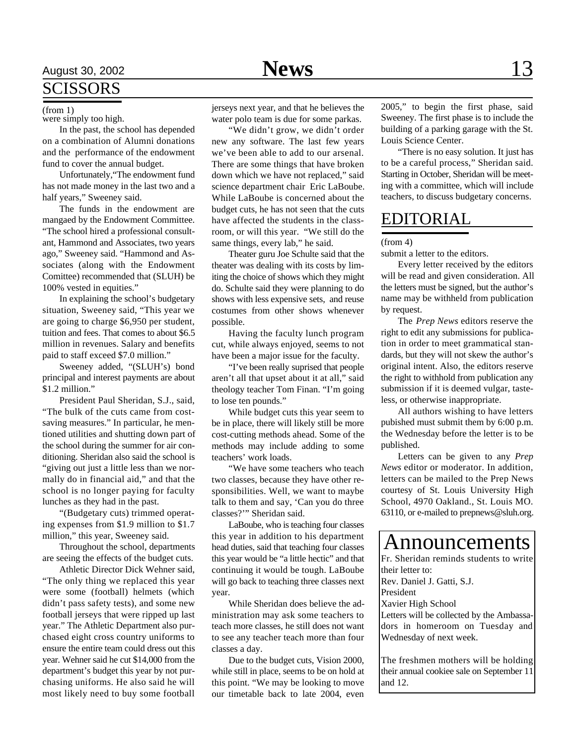# August 30, 2002 **News** 13

# **SCISSORS**

were simply too high.

In the past, the school has depended on a combination of Alumni donations and the performance of the endowment fund to cover the annual budget.

Unfortunately,"The endowment fund has not made money in the last two and a half years," Sweeney said.

The funds in the endowment are mangaed by the Endowment Committee. "The school hired a professional consultant, Hammond and Associates, two years ago," Sweeney said. "Hammond and Associates (along with the Endowment Comittee) recommended that (SLUH) be 100% vested in equities."

In explaining the school's budgetary situation, Sweeney said, "This year we are going to charge \$6,950 per student, tuition and fees. That comes to about \$6.5 million in revenues. Salary and benefits paid to staff exceed \$7.0 million."

Sweeney added, "(SLUH's) bond principal and interest payments are about \$1.2 million."

President Paul Sheridan, S.J., said, "The bulk of the cuts came from costsaving measures." In particular, he mentioned utilities and shutting down part of the school during the summer for air conditioning. Sheridan also said the school is "giving out just a little less than we normally do in financial aid," and that the school is no longer paying for faculty lunches as they had in the past.

"(Budgetary cuts) trimmed operating expenses from \$1.9 million to \$1.7 million," this year, Sweeney said.

Throughout the school, departments are seeing the effects of the budget cuts.

Athletic Director Dick Wehner said, "The only thing we replaced this year were some (football) helmets (which didn't pass safety tests), and some new football jerseys that were ripped up last year." The Athletic Department also purchased eight cross country uniforms to ensure the entire team could dress out this year. Wehner said he cut \$14,000 from the department's budget this year by not purchasing uniforms. He also said he will most likely need to buy some football

water polo team is due for some parkas.

"We didn't grow, we didn't order new any software. The last few years we've been able to add to our arsenal. There are some things that have broken down which we have not replaced," said science department chair Eric LaBoube. While LaBoube is concerned about the budget cuts, he has not seen that the cuts have affected the students in the classroom, or will this year. "We still do the same things, every lab," he said.

Theater guru Joe Schulte said that the theater was dealing with its costs by limiting the choice of shows which they might do. Schulte said they were planning to do shows with less expensive sets, and reuse costumes from other shows whenever possible.

Having the faculty lunch program cut, while always enjoyed, seems to not have been a major issue for the faculty.

"I've been really suprised that people aren't all that upset about it at all," said theology teacher Tom Finan. "I'm going to lose ten pounds."

While budget cuts this year seem to be in place, there will likely still be more cost-cutting methods ahead. Some of the methods may include adding to some teachers' work loads.

"We have some teachers who teach two classes, because they have other responsibilities. Well, we want to maybe talk to them and say, 'Can you do three classes?'" Sheridan said.

LaBoube, who is teaching four classes this year in addition to his department head duties, said that teaching four classes this year would be "a little hectic" and that continuing it would be tough. LaBoube will go back to teaching three classes next year.

While Sheridan does believe the administration may ask some teachers to teach more classes, he still does not want to see any teacher teach more than four classes a day.

Due to the budget cuts, Vision 2000, while still in place, seems to be on hold at this point. "We may be looking to move our timetable back to late 2004, even

 $($ from 1 $)$  jerseys next year, and that he believes the  $2005$ ," to begin the first phase, said Sweeney. The first phase is to include the building of a parking garage with the St. Louis Science Center.

> "There is no easy solution. It just has to be a careful process," Sheridan said. Starting in October, Sheridan will be meeting with a committee, which will include teachers, to discuss budgetary concerns.

## EDITORIAL

#### (from 4)

submit a letter to the editors.

Every letter received by the editors will be read and given consideration. All the letters must be signed, but the author's name may be withheld from publication by request.

The *Prep News* editors reserve the right to edit any submissions for publication in order to meet grammatical standards, but they will not skew the author's original intent. Also, the editors reserve the right to withhold from publication any submission if it is deemed vulgar, tasteless, or otherwise inappropriate.

All authors wishing to have letters pubished must submit them by 6:00 p.m. the Wednesday before the letter is to be published.

Letters can be given to any *Prep News* editor or moderator. In addition, letters can be mailed to the Prep News courtesy of St. Louis University High School, 4970 Oakland., St. Louis MO. 63110, or e-mailed to prepnews@sluh.org.

Fr. Sheridan reminds students to write their letter to: Rev. Daniel J. Gatti, S.J. President Xavier High School Letters will be collected by the Ambassadors in homeroom on Tuesday and Wednesday of next week. The freshmen mothers will be holding Announcements

their annual cookiee sale on September 11 and 12.